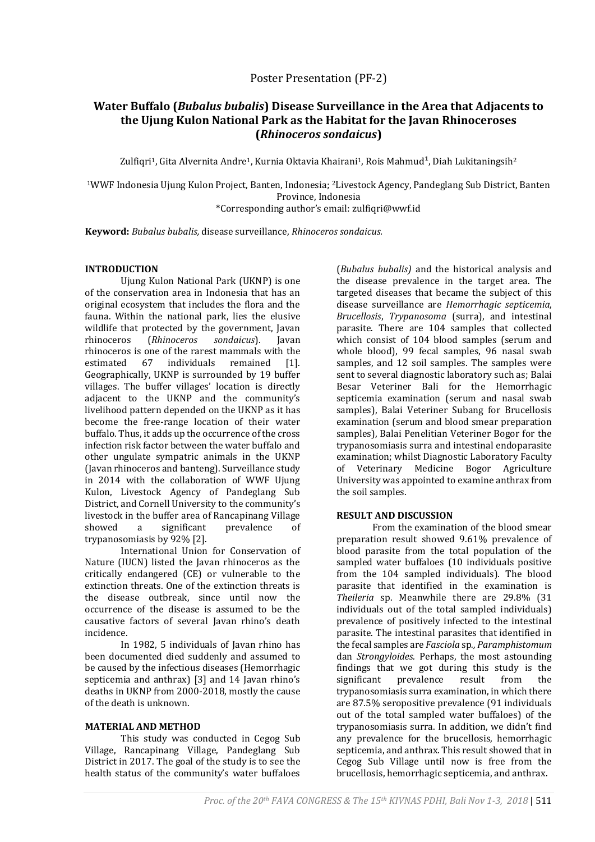Poster Presentation (PF-2)

# **Water Buffalo (***Bubalus bubalis***) Disease Surveillance in the Area that Adjacents to the Ujung Kulon National Park as the Habitat for the Javan Rhinoceroses (***Rhinoceros sondaicus***)**

Zulfiqri<sup>1</sup>, Gita Alvernita Andre<sup>1</sup>, Kurnia Oktavia Khairani<sup>1</sup>, Rois Mahmud<sup>1</sup>, Diah Lukitaningsih<sup>2</sup>

<sup>1</sup>WWF Indonesia Ujung Kulon Project, Banten, Indonesia; 2Livestock Agency, Pandeglang Sub District, Banten Province, Indonesia \*Corresponding author's email[: zulfiqri@wwf.id](mailto:zulfiqri@wwf.id)

**Keyword:** *Bubalus bubalis,* disease surveillance, *Rhinoceros sondaicus.*

### **INTRODUCTION**

Ujung Kulon National Park (UKNP) is one of the conservation area in Indonesia that has an original ecosystem that includes the flora and the fauna. Within the national park, lies the elusive wildlife that protected by the government, Javan rhinoceros (*Rhinoceros sondaicus*). Javan rhinoceros is one of the rarest mammals with the estimated 67 individuals remained [1]. Geographically, UKNP is surrounded by 19 buffer villages. The buffer villages' location is directly adjacent to the UKNP and the community's livelihood pattern depended on the UKNP as it has become the free-range location of their water buffalo. Thus, it adds up the occurrence of the cross infection risk factor between the water buffalo and other ungulate sympatric animals in the UKNP (Javan rhinoceros and banteng). Surveillance study in 2014 with the collaboration of WWF Ujung Kulon, Livestock Agency of Pandeglang Sub District, and Cornell University to the community's livestock in the buffer area of Rancapinang Village showed a significant prevalence of trypanosomiasis by 92% [2].

International Union for Conservation of Nature (IUCN) listed the Javan rhinoceros as the critically endangered (CE) or vulnerable to the extinction threats. One of the extinction threats is the disease outbreak, since until now the occurrence of the disease is assumed to be the causative factors of several Javan rhino's death incidence.

In 1982, 5 individuals of Javan rhino has been documented died suddenly and assumed to be caused by the infectious diseases (Hemorrhagic septicemia and anthrax) [3] and 14 Javan rhino's deaths in UKNP from 2000-2018, mostly the cause of the death is unknown.

# **MATERIAL AND METHOD**

This study was conducted in Cegog Sub Village, Rancapinang Village, Pandeglang Sub District in 2017. The goal of the study is to see the health status of the community's water buffaloes

(*Bubalus bubalis)* and the historical analysis and the disease prevalence in the target area. The targeted diseases that became the subject of this disease surveillance are *Hemorrhagic septicemia*, *Brucellosis*, *Trypanosoma* (surra), and intestinal parasite. There are 104 samples that collected which consist of 104 blood samples (serum and whole blood), 99 fecal samples, 96 nasal swab samples, and 12 soil samples. The samples were sent to several diagnostic laboratory such as; Balai Besar Veteriner Bali for the Hemorrhagic septicemia examination (serum and nasal swab samples), Balai Veteriner Subang for Brucellosis examination (serum and blood smear preparation samples), Balai Penelitian Veteriner Bogor for the trypanosomiasis surra and intestinal endoparasite examination; whilst Diagnostic Laboratory Faculty of Veterinary Medicine Bogor Agriculture University was appointed to examine anthrax from the soil samples.

# **RESULT AND DISCUSSION**

From the examination of the blood smear preparation result showed 9.61% prevalence of blood parasite from the total population of the sampled water buffaloes (10 individuals positive from the 104 sampled individuals). The blood parasite that identified in the examination is *Theileria* sp. Meanwhile there are 29.8% (31 individuals out of the total sampled individuals) prevalence of positively infected to the intestinal parasite. The intestinal parasites that identified in the fecal samples are *Fasciola* sp*., Paramphistomum*  dan *Strongyloides.* Perhaps, the most astounding findings that we got during this study is the significant prevalence result from the trypanosomiasis surra examination, in which there are 87.5% seropositive prevalence (91 individuals out of the total sampled water buffaloes) of the trypanosomiasis surra. In addition, we didn't find any prevalence for the brucellosis, hemorrhagic septicemia, and anthrax. This result showed that in Cegog Sub Village until now is free from the brucellosis, hemorrhagic septicemia, and anthrax.